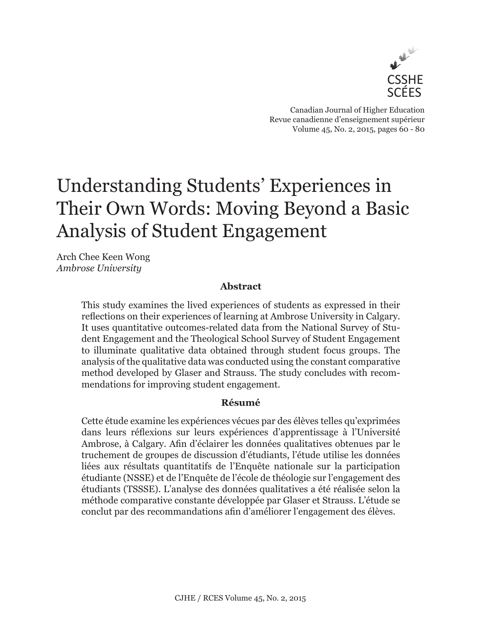

Canadian Journal of Higher Education Revue canadienne d'enseignement supérieur Volume 45, No. 2, 2015, pages 60 - 80

# Understanding Students' Experiences in Their Own Words: Moving Beyond a Basic Analysis of Student Engagement

Arch Chee Keen Wong *Ambrose University*

## **Abstract**

This study examines the lived experiences of students as expressed in their reflections on their experiences of learning at Ambrose University in Calgary. It uses quantitative outcomes-related data from the National Survey of Student Engagement and the Theological School Survey of Student Engagement to illuminate qualitative data obtained through student focus groups. The analysis of the qualitative data was conducted using the constant comparative method developed by Glaser and Strauss. The study concludes with recommendations for improving student engagement.

## **Résumé**

Cette étude examine les expériences vécues par des élèves telles qu'exprimées dans leurs réflexions sur leurs expériences d'apprentissage à l'Université Ambrose, à Calgary. Afin d'éclairer les données qualitatives obtenues par le truchement de groupes de discussion d'étudiants, l'étude utilise les données liées aux résultats quantitatifs de l'Enquête nationale sur la participation étudiante (NSSE) et de l'Enquête de l'école de théologie sur l'engagement des étudiants (TSSSE). L'analyse des données qualitatives a été réalisée selon la méthode comparative constante développée par Glaser et Strauss. L'étude se conclut par des recommandations afin d'améliorer l'engagement des élèves.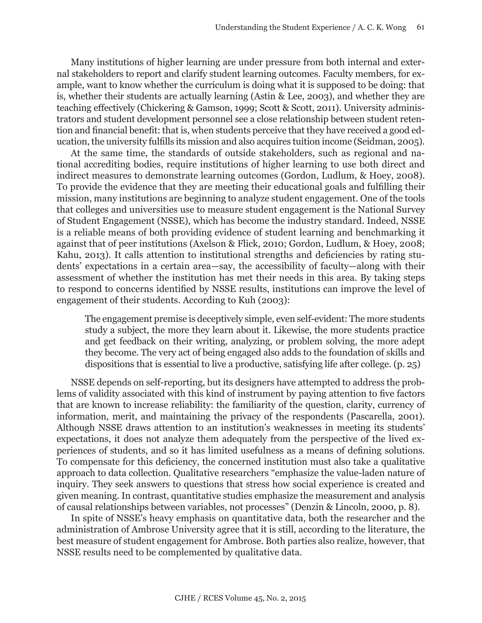Many institutions of higher learning are under pressure from both internal and external stakeholders to report and clarify student learning outcomes. Faculty members, for example, want to know whether the curriculum is doing what it is supposed to be doing: that is, whether their students are actually learning (Astin & Lee, 2003), and whether they are teaching effectively (Chickering & Gamson, 1999; Scott & Scott, 2011). University administrators and student development personnel see a close relationship between student retention and financial benefit: that is, when students perceive that they have received a good education, the university fulfills its mission and also acquires tuition income (Seidman, 2005).

At the same time, the standards of outside stakeholders, such as regional and national accrediting bodies, require institutions of higher learning to use both direct and indirect measures to demonstrate learning outcomes (Gordon, Ludlum, & Hoey, 2008). To provide the evidence that they are meeting their educational goals and fulfilling their mission, many institutions are beginning to analyze student engagement. One of the tools that colleges and universities use to measure student engagement is the National Survey of Student Engagement (NSSE), which has become the industry standard. Indeed, NSSE is a reliable means of both providing evidence of student learning and benchmarking it against that of peer institutions (Axelson & Flick, 2010; Gordon, Ludlum, & Hoey, 2008; Kahu, 2013). It calls attention to institutional strengths and deficiencies by rating students' expectations in a certain area—say, the accessibility of faculty—along with their assessment of whether the institution has met their needs in this area. By taking steps to respond to concerns identified by NSSE results, institutions can improve the level of engagement of their students. According to Kuh (2003):

The engagement premise is deceptively simple, even self-evident: The more students study a subject, the more they learn about it. Likewise, the more students practice and get feedback on their writing, analyzing, or problem solving, the more adept they become. The very act of being engaged also adds to the foundation of skills and dispositions that is essential to live a productive, satisfying life after college. (p. 25)

NSSE depends on self-reporting, but its designers have attempted to address the problems of validity associated with this kind of instrument by paying attention to five factors that are known to increase reliability: the familiarity of the question, clarity, currency of information, merit, and maintaining the privacy of the respondents (Pascarella, 2001). Although NSSE draws attention to an institution's weaknesses in meeting its students' expectations, it does not analyze them adequately from the perspective of the lived experiences of students, and so it has limited usefulness as a means of defining solutions. To compensate for this deficiency, the concerned institution must also take a qualitative approach to data collection. Qualitative researchers "emphasize the value-laden nature of inquiry. They seek answers to questions that stress how social experience is created and given meaning. In contrast, quantitative studies emphasize the measurement and analysis of causal relationships between variables, not processes" (Denzin & Lincoln, 2000, p. 8).

In spite of NSSE's heavy emphasis on quantitative data, both the researcher and the administration of Ambrose University agree that it is still, according to the literature, the best measure of student engagement for Ambrose. Both parties also realize, however, that NSSE results need to be complemented by qualitative data.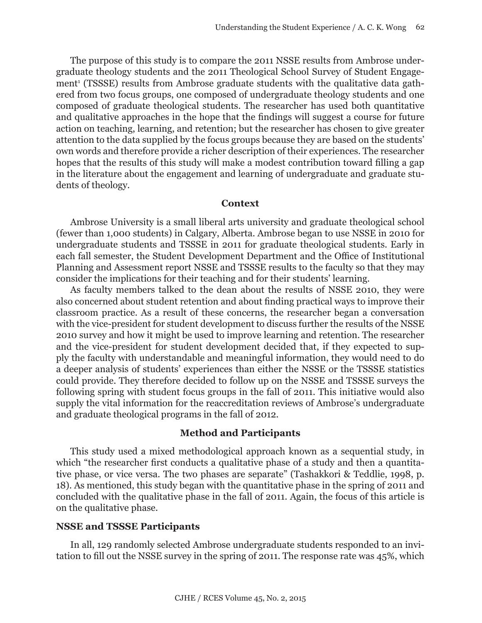The purpose of this study is to compare the 2011 NSSE results from Ambrose undergraduate theology students and the 2011 Theological School Survey of Student Engagement<sup>1</sup> (TSSSE) results from Ambrose graduate students with the qualitative data gathered from two focus groups, one composed of undergraduate theology students and one composed of graduate theological students. The researcher has used both quantitative and qualitative approaches in the hope that the findings will suggest a course for future action on teaching, learning, and retention; but the researcher has chosen to give greater attention to the data supplied by the focus groups because they are based on the students' own words and therefore provide a richer description of their experiences. The researcher hopes that the results of this study will make a modest contribution toward filling a gap in the literature about the engagement and learning of undergraduate and graduate students of theology.

#### **Context**

Ambrose University is a small liberal arts university and graduate theological school (fewer than 1,000 students) in Calgary, Alberta. Ambrose began to use NSSE in 2010 for undergraduate students and TSSSE in 2011 for graduate theological students. Early in each fall semester, the Student Development Department and the Office of Institutional Planning and Assessment report NSSE and TSSSE results to the faculty so that they may consider the implications for their teaching and for their students' learning.

As faculty members talked to the dean about the results of NSSE 2010, they were also concerned about student retention and about finding practical ways to improve their classroom practice. As a result of these concerns, the researcher began a conversation with the vice-president for student development to discuss further the results of the NSSE 2010 survey and how it might be used to improve learning and retention. The researcher and the vice-president for student development decided that, if they expected to supply the faculty with understandable and meaningful information, they would need to do a deeper analysis of students' experiences than either the NSSE or the TSSSE statistics could provide. They therefore decided to follow up on the NSSE and TSSSE surveys the following spring with student focus groups in the fall of 2011. This initiative would also supply the vital information for the reaccreditation reviews of Ambrose's undergraduate and graduate theological programs in the fall of 2012.

### **Method and Participants**

This study used a mixed methodological approach known as a sequential study, in which "the researcher first conducts a qualitative phase of a study and then a quantitative phase, or vice versa. The two phases are separate" (Tashakkori & Teddlie, 1998, p. 18). As mentioned, this study began with the quantitative phase in the spring of 2011 and concluded with the qualitative phase in the fall of 2011. Again, the focus of this article is on the qualitative phase.

#### **NSSE and TSSSE Participants**

In all, 129 randomly selected Ambrose undergraduate students responded to an invitation to fill out the NSSE survey in the spring of 2011. The response rate was 45%, which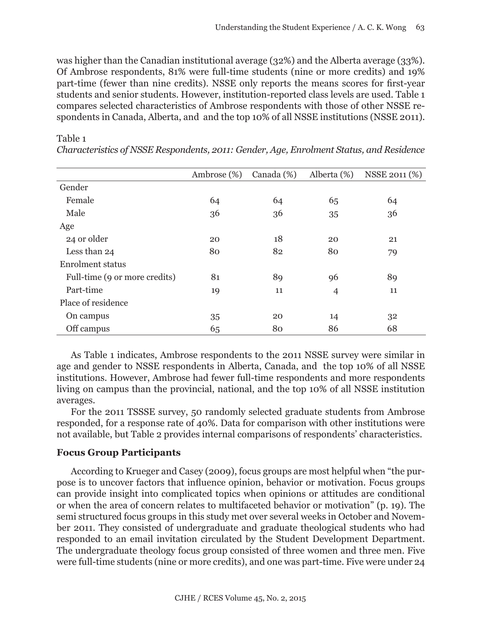was higher than the Canadian institutional average (32%) and the Alberta average (33%). Of Ambrose respondents, 81% were full-time students (nine or more credits) and 19% part-time (fewer than nine credits). NSSE only reports the means scores for first-year students and senior students. However, institution-reported class levels are used. Table 1 compares selected characteristics of Ambrose respondents with those of other NSSE respondents in Canada, Alberta, and and the top 10% of all NSSE institutions (NSSE 2011).

|                               | Ambrose $(\%)$ | Canada (%) | Alberta (%)    | NSSE 2011 (%) |
|-------------------------------|----------------|------------|----------------|---------------|
| Gender                        |                |            |                |               |
| Female                        | 64             | 64         | 65             | 64            |
| Male                          | 36             | 36         | 35             | 36            |
| Age                           |                |            |                |               |
| 24 or older                   | 20             | 18         | 20             | 21            |
| Less than 24                  | 80             | 82         | 80             | 79            |
| <b>Enrolment status</b>       |                |            |                |               |
| Full-time (9 or more credits) | 81             | 89         | 96             | 89            |
| Part-time                     | 19             | 11         | $\overline{4}$ | 11            |
| Place of residence            |                |            |                |               |
| On campus                     | 35             | 20         | 14             | 32            |
| Off campus                    | 65             | 80         | 86             | 68            |

*Characteristics of NSSE Respondents, 2011: Gender, Age, Enrolment Status, and Residence*

As Table 1 indicates, Ambrose respondents to the 2011 NSSE survey were similar in age and gender to NSSE respondents in Alberta, Canada, and the top 10% of all NSSE institutions. However, Ambrose had fewer full-time respondents and more respondents living on campus than the provincial, national, and the top 10% of all NSSE institution averages.

For the 2011 TSSSE survey, 50 randomly selected graduate students from Ambrose responded, for a response rate of 40%. Data for comparison with other institutions were not available, but Table 2 provides internal comparisons of respondents' characteristics.

# **Focus Group Participants**

Table 1

According to Krueger and Casey (2009), focus groups are most helpful when "the purpose is to uncover factors that influence opinion, behavior or motivation. Focus groups can provide insight into complicated topics when opinions or attitudes are conditional or when the area of concern relates to multifaceted behavior or motivation" (p. 19). The semi structured focus groups in this study met over several weeks in October and November 2011. They consisted of undergraduate and graduate theological students who had responded to an email invitation circulated by the Student Development Department. The undergraduate theology focus group consisted of three women and three men. Five were full-time students (nine or more credits), and one was part-time. Five were under 24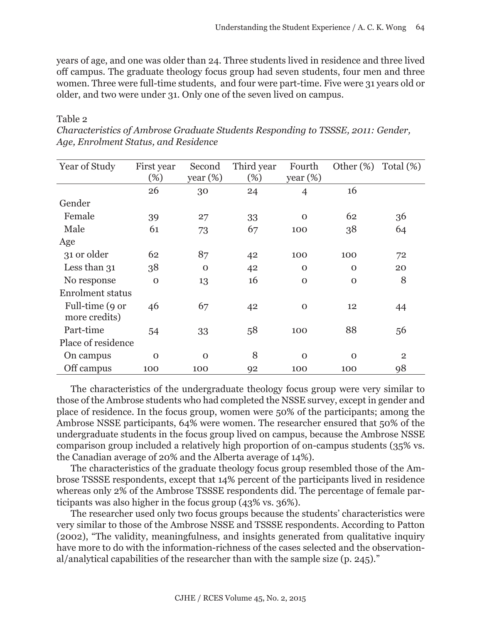years of age, and one was older than 24. Three students lived in residence and three lived off campus. The graduate theology focus group had seven students, four men and three women. Three were full-time students, and four were part-time. Five were 31 years old or older, and two were under 31. Only one of the seven lived on campus.

#### Table 2

| Year of Study                    | First year  | Second      | Third year | Fourth         | Other $(\%)$ | Total $(\%)$   |
|----------------------------------|-------------|-------------|------------|----------------|--------------|----------------|
|                                  | (%)         | year $(\%)$ | (%)        | year $(\%)$    |              |                |
|                                  | 26          | 30          | 24         | $\overline{4}$ | 16           |                |
| Gender                           |             |             |            |                |              |                |
| Female                           | 39          | 27          | 33         | $\Omega$       | 62           | 36             |
| Male                             | 61          | 73          | 67         | 100            | 38           | 64             |
| Age                              |             |             |            |                |              |                |
| 31 or older                      | 62          | 87          | 42         | 100            | 100          | 72             |
| Less than 31                     | 38          | $\Omega$    | 42         | $\mathbf{O}$   | $\mathbf{O}$ | 20             |
| No response                      | $\mathbf 0$ | 13          | 16         | $\mathbf{O}$   | $\mathbf{O}$ | 8              |
| <b>Enrolment status</b>          |             |             |            |                |              |                |
| Full-time (9 or<br>more credits) | 46          | 67          | 42         | $\mathbf 0$    | 12           | 44             |
| Part-time                        | 54          | 33          | 58         | 100            | 88           | 56             |
| Place of residence               |             |             |            |                |              |                |
| On campus                        | $\Omega$    | $\Omega$    | 8          | $\Omega$       | $\Omega$     | $\overline{2}$ |
| Off campus                       | 100         | 100         | 92         | 100            | 100          | 98             |

*Characteristics of Ambrose Graduate Students Responding to TSSSE, 2011: Gender, Age, Enrolment Status, and Residence*

The characteristics of the undergraduate theology focus group were very similar to those of the Ambrose students who had completed the NSSE survey, except in gender and place of residence. In the focus group, women were 50% of the participants; among the Ambrose NSSE participants, 64% were women. The researcher ensured that 50% of the undergraduate students in the focus group lived on campus, because the Ambrose NSSE comparison group included a relatively high proportion of on-campus students (35% vs. the Canadian average of 20% and the Alberta average of 14%).

The characteristics of the graduate theology focus group resembled those of the Ambrose TSSSE respondents, except that 14% percent of the participants lived in residence whereas only 2% of the Ambrose TSSSE respondents did. The percentage of female participants was also higher in the focus group (43% vs. 36%).

The researcher used only two focus groups because the students' characteristics were very similar to those of the Ambrose NSSE and TSSSE respondents. According to Patton (2002), "The validity, meaningfulness, and insights generated from qualitative inquiry have more to do with the information-richness of the cases selected and the observational/analytical capabilities of the researcher than with the sample size (p. 245)."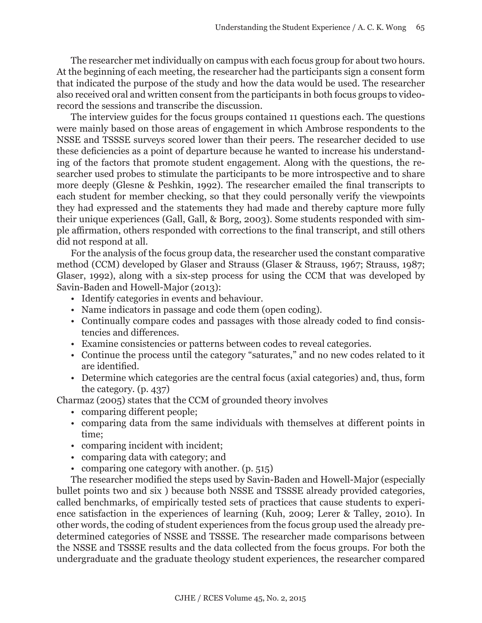The researcher met individually on campus with each focus group for about two hours. At the beginning of each meeting, the researcher had the participants sign a consent form that indicated the purpose of the study and how the data would be used. The researcher also received oral and written consent from the participants in both focus groups to videorecord the sessions and transcribe the discussion.

The interview guides for the focus groups contained 11 questions each. The questions were mainly based on those areas of engagement in which Ambrose respondents to the NSSE and TSSSE surveys scored lower than their peers. The researcher decided to use these deficiencies as a point of departure because he wanted to increase his understanding of the factors that promote student engagement. Along with the questions, the researcher used probes to stimulate the participants to be more introspective and to share more deeply (Glesne & Peshkin, 1992). The researcher emailed the final transcripts to each student for member checking, so that they could personally verify the viewpoints they had expressed and the statements they had made and thereby capture more fully their unique experiences (Gall, Gall, & Borg, 2003). Some students responded with simple affirmation, others responded with corrections to the final transcript, and still others did not respond at all.

For the analysis of the focus group data, the researcher used the constant comparative method (CCM) developed by Glaser and Strauss (Glaser & Strauss, 1967; Strauss, 1987; Glaser, 1992), along with a six-step process for using the CCM that was developed by Savin-Baden and Howell-Major (2013):

- Identify categories in events and behaviour.
- Name indicators in passage and code them (open coding).
- Continually compare codes and passages with those already coded to find consistencies and differences.
- Examine consistencies or patterns between codes to reveal categories.
- Continue the process until the category "saturates," and no new codes related to it are identified.
- Determine which categories are the central focus (axial categories) and, thus, form the category. (p. 437)

Charmaz (2005) states that the CCM of grounded theory involves

- comparing different people;
- comparing data from the same individuals with themselves at different points in time;
- comparing incident with incident;
- comparing data with category; and
- comparing one category with another. (p. 515)

The researcher modified the steps used by Savin-Baden and Howell-Major (especially bullet points two and six ) because both NSSE and TSSSE already provided categories, called benchmarks, of empirically tested sets of practices that cause students to experience satisfaction in the experiences of learning (Kuh, 2009; Lerer & Talley, 2010). In other words, the coding of student experiences from the focus group used the already predetermined categories of NSSE and TSSSE. The researcher made comparisons between the NSSE and TSSSE results and the data collected from the focus groups. For both the undergraduate and the graduate theology student experiences, the researcher compared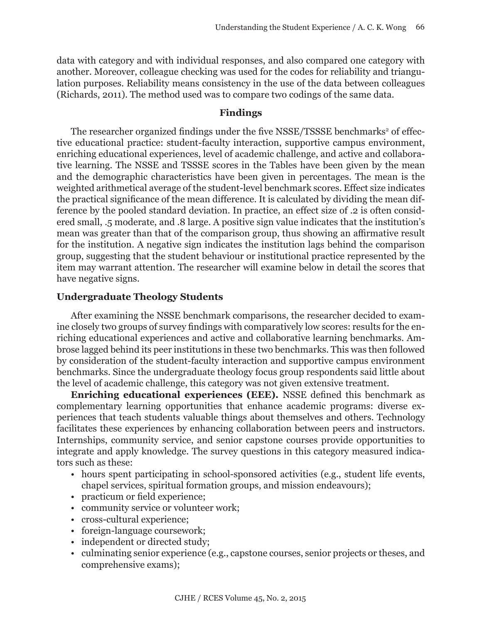data with category and with individual responses, and also compared one category with another. Moreover, colleague checking was used for the codes for reliability and triangulation purposes. Reliability means consistency in the use of the data between colleagues (Richards, 2011). The method used was to compare two codings of the same data.

## **Findings**

The researcher organized findings under the five NSSE/TSSSE benchmarks<sup>2</sup> of effective educational practice: student-faculty interaction, supportive campus environment, enriching educational experiences, level of academic challenge, and active and collaborative learning. The NSSE and TSSSE scores in the Tables have been given by the mean and the demographic characteristics have been given in percentages. The mean is the weighted arithmetical average of the student-level benchmark scores. Effect size indicates the practical significance of the mean difference. It is calculated by dividing the mean difference by the pooled standard deviation. In practice, an effect size of .2 is often considered small, .5 moderate, and .8 large. A positive sign value indicates that the institution's mean was greater than that of the comparison group, thus showing an affirmative result for the institution. A negative sign indicates the institution lags behind the comparison group, suggesting that the student behaviour or institutional practice represented by the item may warrant attention. The researcher will examine below in detail the scores that have negative signs.

## **Undergraduate Theology Students**

After examining the NSSE benchmark comparisons, the researcher decided to examine closely two groups of survey findings with comparatively low scores: results for the enriching educational experiences and active and collaborative learning benchmarks. Ambrose lagged behind its peer institutions in these two benchmarks. This was then followed by consideration of the student-faculty interaction and supportive campus environment benchmarks. Since the undergraduate theology focus group respondents said little about the level of academic challenge, this category was not given extensive treatment.

**Enriching educational experiences (EEE).** NSSE defined this benchmark as complementary learning opportunities that enhance academic programs: diverse experiences that teach students valuable things about themselves and others. Technology facilitates these experiences by enhancing collaboration between peers and instructors. Internships, community service, and senior capstone courses provide opportunities to integrate and apply knowledge. The survey questions in this category measured indicators such as these:

- hours spent participating in school-sponsored activities (e.g., student life events, chapel services, spiritual formation groups, and mission endeavours);
- practicum or field experience;
- community service or volunteer work;
- cross-cultural experience;
- foreign-language coursework;
- independent or directed study;
- culminating senior experience (e.g., capstone courses, senior projects or theses, and comprehensive exams);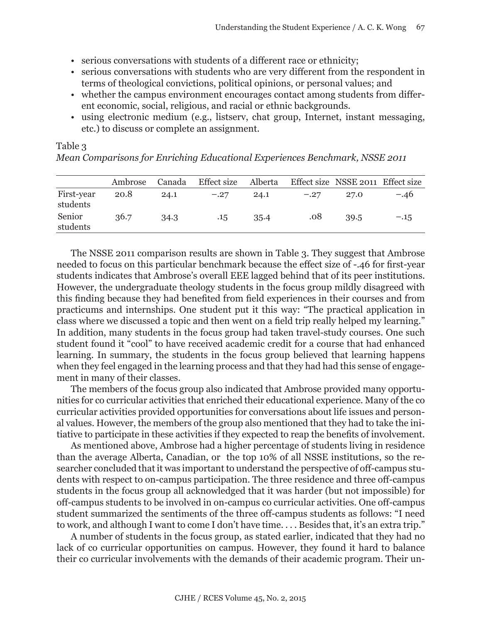- serious conversations with students of a different race or ethnicity;
- serious conversations with students who are very different from the respondent in terms of theological convictions, political opinions, or personal values; and
- whether the campus environment encourages contact among students from different economic, social, religious, and racial or ethnic backgrounds.
- using electronic medium (e.g., listserv, chat group, Internet, instant messaging, etc.) to discuss or complete an assignment.

|                        | Ambrose Canada |      | Effect size Alberta Effect size NSSE 2011 Effect size |      |        |      |        |
|------------------------|----------------|------|-------------------------------------------------------|------|--------|------|--------|
| First-year<br>students | 20.8           | 24.1 | $-.27$                                                | 24.1 | $-.27$ | 27.0 | $-.46$ |
| Senior                 | 36.7           | 34.3 | .15                                                   | 35.4 | .08    | 39.5 | $-.15$ |

Table 3 *Mean Comparisons for Enriching Educational Experiences Benchmark, NSSE 2011*

students

The NSSE 2011 comparison results are shown in Table 3. They suggest that Ambrose needed to focus on this particular benchmark because the effect size of -.46 for first-year students indicates that Ambrose's overall EEE lagged behind that of its peer institutions. However, the undergraduate theology students in the focus group mildly disagreed with this finding because they had benefited from field experiences in their courses and from practicums and internships. One student put it this way: "The practical application in class where we discussed a topic and then went on a field trip really helped my learning." In addition, many students in the focus group had taken travel-study courses. One such student found it "cool" to have received academic credit for a course that had enhanced learning. In summary, the students in the focus group believed that learning happens when they feel engaged in the learning process and that they had had this sense of engagement in many of their classes.

The members of the focus group also indicated that Ambrose provided many opportunities for co curricular activities that enriched their educational experience. Many of the co curricular activities provided opportunities for conversations about life issues and personal values. However, the members of the group also mentioned that they had to take the initiative to participate in these activities if they expected to reap the benefits of involvement.

As mentioned above, Ambrose had a higher percentage of students living in residence than the average Alberta, Canadian, or the top 10% of all NSSE institutions, so the researcher concluded that it was important to understand the perspective of off-campus students with respect to on-campus participation. The three residence and three off-campus students in the focus group all acknowledged that it was harder (but not impossible) for off-campus students to be involved in on-campus co curricular activities. One off-campus student summarized the sentiments of the three off-campus students as follows: "I need to work, and although I want to come I don't have time. . . . Besides that, it's an extra trip."

A number of students in the focus group, as stated earlier, indicated that they had no lack of co curricular opportunities on campus. However, they found it hard to balance their co curricular involvements with the demands of their academic program. Their un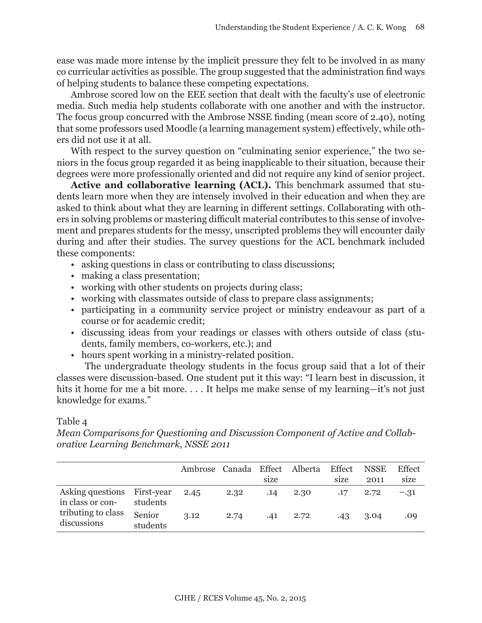ease was made more intense by the implicit pressure they felt to be involved in as many co curricular activities as possible. The group suggested that the administration find ways of helping students to balance these competing expectations.

Ambrose scored low on the EEE section that dealt with the faculty's use of electronic media. Such media help students collaborate with one another and with the instructor. The focus group concurred with the Ambrose NSSE finding (mean score of 2.40), noting that some professors used Moodle (a learning management system) effectively, while others did not use it at all.

With respect to the survey question on "culminating senior experience," the two seniors in the focus group regarded it as being inapplicable to their situation, because their degrees were more professionally oriented and did not require any kind of senior project.

**Active and collaborative learning (ACL).** This benchmark assumed that students learn more when they are intensely involved in their education and when they are asked to think about what they are learning in different settings. Collaborating with others in solving problems or mastering difficult material contributes to this sense of involvement and prepares students for the messy, unscripted problems they will encounter daily during and after their studies. The survey questions for the ACL benchmark included these components:

- asking questions in class or contributing to class discussions;
- making a class presentation;
- working with other students on projects during class;
- working with classmates outside of class to prepare class assignments;
- participating in a community service project or ministry endeavour as part of a course or for academic credit;
- discussing ideas from your readings or classes with others outside of class (students, family members, co-workers, etc.); and
- hours spent working in a ministry-related position.

The undergraduate theology students in the focus group said that a lot of their classes were discussion-based. One student put it this way: "I learn best in discussion, it hits it home for me a bit more.... It helps me make sense of my learning—it's not just knowledge for exams."

## Table 4

*Mean Comparisons for Questioning and Discussion Component of Active and Collaborative Learning Benchmark, NSSE 2011* 

|                                                 |                    | Ambrose Canada Effect |      | size | Alberta | Effect<br>size | <b>NSSE</b><br>2011 | Effect<br>size |
|-------------------------------------------------|--------------------|-----------------------|------|------|---------|----------------|---------------------|----------------|
| Asking questions First-year<br>in class or con- | students           | 2.45                  | 2.32 | .14  | 2.30    | .17            | 2.72                | $-.31$         |
| tributing to class<br>discussions               | Senior<br>students | 3.12                  | 2.74 | .41  | 2.72    | .43            | 3.04                | .09            |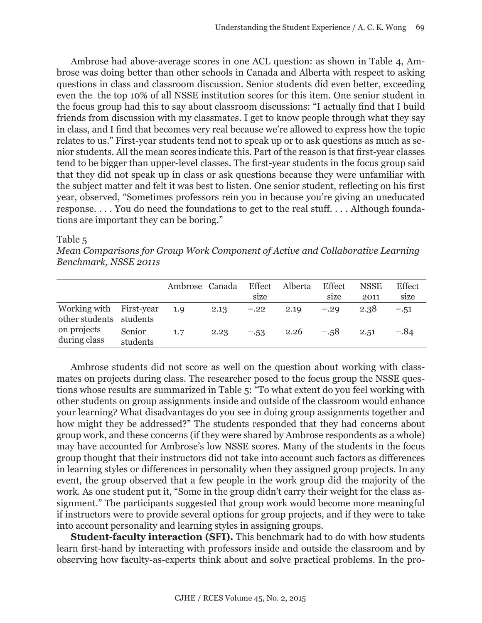Ambrose had above-average scores in one ACL question: as shown in Table 4, Ambrose was doing better than other schools in Canada and Alberta with respect to asking questions in class and classroom discussion. Senior students did even better, exceeding even the the top 10% of all NSSE institution scores for this item. One senior student in the focus group had this to say about classroom discussions: "I actually find that I build friends from discussion with my classmates. I get to know people through what they say in class, and I find that becomes very real because we're allowed to express how the topic relates to us." First-year students tend not to speak up or to ask questions as much as senior students. All the mean scores indicate this. Part of the reason is that first-year classes tend to be bigger than upper-level classes. The first-year students in the focus group said that they did not speak up in class or ask questions because they were unfamiliar with the subject matter and felt it was best to listen. One senior student, reflecting on his first year, observed, "Sometimes professors rein you in because you're giving an uneducated response. . . . You do need the foundations to get to the real stuff. . . . Although foundations are important they can be boring."

Table 5

*Mean Comparisons for Group Work Component of Active and Collaborative Learning Benchmark, NSSE 2011s*

|                                                    |                    | Ambrose Canada |      | Effect<br>size | Alberta | Effect<br>size | <b>NSSE</b><br>2011 | <b>Effect</b><br>size |
|----------------------------------------------------|--------------------|----------------|------|----------------|---------|----------------|---------------------|-----------------------|
| Working with First-year<br>other students students |                    | 1.9            | 2.13 | $-.22$         | 2.19    | $-.29$         | 2.38                | $-.51$                |
| on projects<br>during class                        | Senior<br>students | 1.7            | 2.23 | $-.53$         | 2.26    | $-.58$         | 2.51                | $-.84$                |

Ambrose students did not score as well on the question about working with classmates on projects during class. The researcher posed to the focus group the NSSE questions whose results are summarized in Table 5: "To what extent do you feel working with other students on group assignments inside and outside of the classroom would enhance your learning? What disadvantages do you see in doing group assignments together and how might they be addressed?" The students responded that they had concerns about group work, and these concerns (if they were shared by Ambrose respondents as a whole) may have accounted for Ambrose's low NSSE scores. Many of the students in the focus group thought that their instructors did not take into account such factors as differences in learning styles or differences in personality when they assigned group projects. In any event, the group observed that a few people in the work group did the majority of the work. As one student put it, "Some in the group didn't carry their weight for the class assignment." The participants suggested that group work would become more meaningful if instructors were to provide several options for group projects, and if they were to take into account personality and learning styles in assigning groups.

**Student-faculty interaction (SFI).** This benchmark had to do with how students learn first-hand by interacting with professors inside and outside the classroom and by observing how faculty-as-experts think about and solve practical problems. In the pro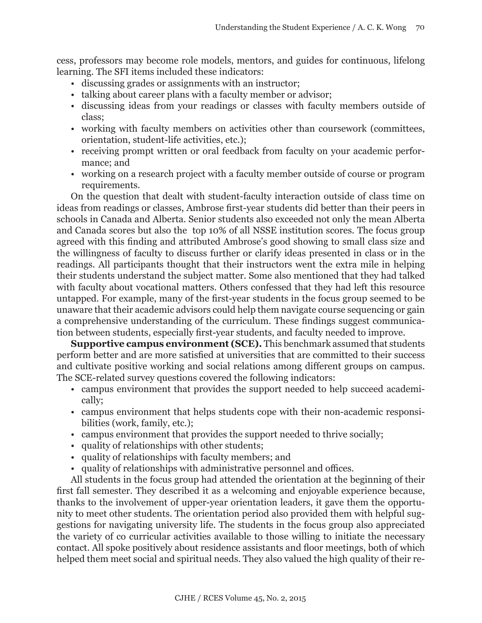cess, professors may become role models, mentors, and guides for continuous, lifelong learning. The SFI items included these indicators:

- discussing grades or assignments with an instructor;
- talking about career plans with a faculty member or advisor;
- discussing ideas from your readings or classes with faculty members outside of class;
- working with faculty members on activities other than coursework (committees, orientation, student-life activities, etc.);
- receiving prompt written or oral feedback from faculty on your academic performance; and
- working on a research project with a faculty member outside of course or program requirements.

On the question that dealt with student-faculty interaction outside of class time on ideas from readings or classes, Ambrose first-year students did better than their peers in schools in Canada and Alberta. Senior students also exceeded not only the mean Alberta and Canada scores but also the top 10% of all NSSE institution scores. The focus group agreed with this finding and attributed Ambrose's good showing to small class size and the willingness of faculty to discuss further or clarify ideas presented in class or in the readings. All participants thought that their instructors went the extra mile in helping their students understand the subject matter. Some also mentioned that they had talked with faculty about vocational matters. Others confessed that they had left this resource untapped. For example, many of the first-year students in the focus group seemed to be unaware that their academic advisors could help them navigate course sequencing or gain a comprehensive understanding of the curriculum. These findings suggest communication between students, especially first-year students, and faculty needed to improve.

**Supportive campus environment (SCE).** This benchmark assumed that students perform better and are more satisfied at universities that are committed to their success and cultivate positive working and social relations among different groups on campus. The SCE-related survey questions covered the following indicators:

- campus environment that provides the support needed to help succeed academically;
- campus environment that helps students cope with their non-academic responsibilities (work, family, etc.);
- campus environment that provides the support needed to thrive socially;
- quality of relationships with other students;
- quality of relationships with faculty members; and
- quality of relationships with administrative personnel and offices.

All students in the focus group had attended the orientation at the beginning of their first fall semester. They described it as a welcoming and enjoyable experience because, thanks to the involvement of upper-year orientation leaders, it gave them the opportunity to meet other students. The orientation period also provided them with helpful suggestions for navigating university life. The students in the focus group also appreciated the variety of co curricular activities available to those willing to initiate the necessary contact. All spoke positively about residence assistants and floor meetings, both of which helped them meet social and spiritual needs. They also valued the high quality of their re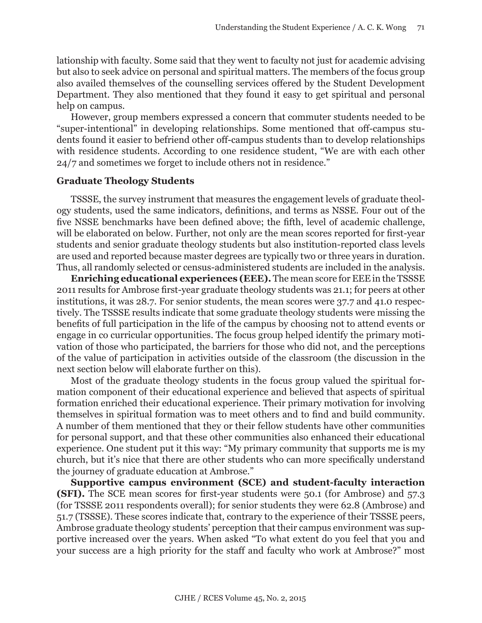lationship with faculty. Some said that they went to faculty not just for academic advising but also to seek advice on personal and spiritual matters. The members of the focus group also availed themselves of the counselling services offered by the Student Development Department. They also mentioned that they found it easy to get spiritual and personal help on campus.

However, group members expressed a concern that commuter students needed to be "super-intentional" in developing relationships. Some mentioned that off-campus students found it easier to befriend other off-campus students than to develop relationships with residence students. According to one residence student, "We are with each other 24/7 and sometimes we forget to include others not in residence."

#### **Graduate Theology Students**

TSSSE, the survey instrument that measures the engagement levels of graduate theology students, used the same indicators, definitions, and terms as NSSE. Four out of the five NSSE benchmarks have been defined above; the fifth, level of academic challenge, will be elaborated on below. Further, not only are the mean scores reported for first-year students and senior graduate theology students but also institution-reported class levels are used and reported because master degrees are typically two or three years in duration. Thus, all randomly selected or census-administered students are included in the analysis.

**Enriching educational experiences (EEE).** The mean score for EEE in the TSSSE 2011 results for Ambrose first-year graduate theology students was 21.1; for peers at other institutions, it was 28.7. For senior students, the mean scores were 37.7 and 41.0 respectively. The TSSSE results indicate that some graduate theology students were missing the benefits of full participation in the life of the campus by choosing not to attend events or engage in co curricular opportunities. The focus group helped identify the primary motivation of those who participated, the barriers for those who did not, and the perceptions of the value of participation in activities outside of the classroom (the discussion in the next section below will elaborate further on this).

Most of the graduate theology students in the focus group valued the spiritual formation component of their educational experience and believed that aspects of spiritual formation enriched their educational experience. Their primary motivation for involving themselves in spiritual formation was to meet others and to find and build community. A number of them mentioned that they or their fellow students have other communities for personal support, and that these other communities also enhanced their educational experience. One student put it this way: "My primary community that supports me is my church, but it's nice that there are other students who can more specifically understand the journey of graduate education at Ambrose."

**Supportive campus environment (SCE) and student-faculty interaction (SFI).** The SCE mean scores for first-year students were 50.1 (for Ambrose) and 57.3 (for TSSSE 2011 respondents overall); for senior students they were 62.8 (Ambrose) and 51.7 (TSSSE). These scores indicate that, contrary to the experience of their TSSSE peers, Ambrose graduate theology students' perception that their campus environment was supportive increased over the years. When asked "To what extent do you feel that you and your success are a high priority for the staff and faculty who work at Ambrose?" most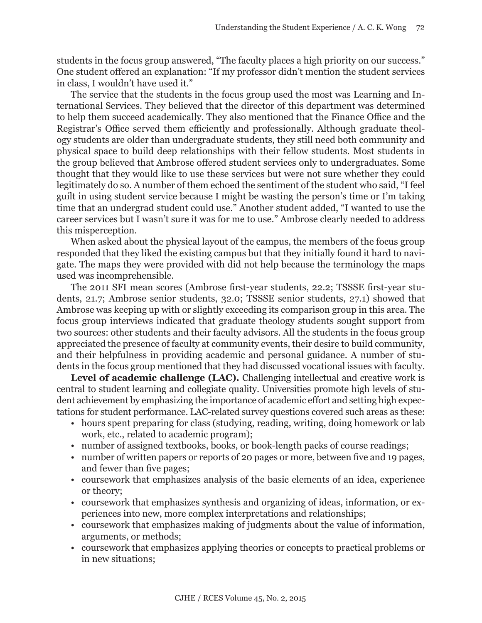students in the focus group answered, "The faculty places a high priority on our success." One student offered an explanation: "If my professor didn't mention the student services in class, I wouldn't have used it."

The service that the students in the focus group used the most was Learning and International Services. They believed that the director of this department was determined to help them succeed academically. They also mentioned that the Finance Office and the Registrar's Office served them efficiently and professionally. Although graduate theology students are older than undergraduate students, they still need both community and physical space to build deep relationships with their fellow students. Most students in the group believed that Ambrose offered student services only to undergraduates. Some thought that they would like to use these services but were not sure whether they could legitimately do so. A number of them echoed the sentiment of the student who said, "I feel guilt in using student service because I might be wasting the person's time or I'm taking time that an undergrad student could use." Another student added, "I wanted to use the career services but I wasn't sure it was for me to use." Ambrose clearly needed to address this misperception.

When asked about the physical layout of the campus, the members of the focus group responded that they liked the existing campus but that they initially found it hard to navigate. The maps they were provided with did not help because the terminology the maps used was incomprehensible.

The 2011 SFI mean scores (Ambrose first-year students, 22.2; TSSSE first-year students, 21.7; Ambrose senior students, 32.0; TSSSE senior students, 27.1) showed that Ambrose was keeping up with or slightly exceeding its comparison group in this area. The focus group interviews indicated that graduate theology students sought support from two sources: other students and their faculty advisors. All the students in the focus group appreciated the presence of faculty at community events, their desire to build community, and their helpfulness in providing academic and personal guidance. A number of students in the focus group mentioned that they had discussed vocational issues with faculty.

Level of academic challenge (LAC). Challenging intellectual and creative work is central to student learning and collegiate quality. Universities promote high levels of student achievement by emphasizing the importance of academic effort and setting high expectations for student performance. LAC-related survey questions covered such areas as these:

- hours spent preparing for class (studying, reading, writing, doing homework or lab work, etc., related to academic program);
- number of assigned textbooks, books, or book-length packs of course readings;
- number of written papers or reports of 20 pages or more, between five and 19 pages, and fewer than five pages;
- coursework that emphasizes analysis of the basic elements of an idea, experience or theory;
- coursework that emphasizes synthesis and organizing of ideas, information, or experiences into new, more complex interpretations and relationships;
- coursework that emphasizes making of judgments about the value of information, arguments, or methods;
- coursework that emphasizes applying theories or concepts to practical problems or in new situations;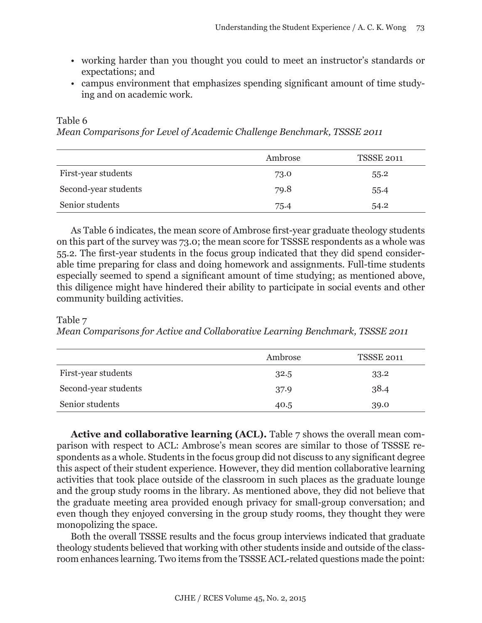- working harder than you thought you could to meet an instructor's standards or expectations; and
- campus environment that emphasizes spending significant amount of time studying and on academic work.

#### Table 6

*Mean Comparisons for Level of Academic Challenge Benchmark, TSSSE 2011*

|                      | Ambrose | <b>TSSSE 2011</b> |
|----------------------|---------|-------------------|
| First-year students  | 73.0    | 55.2              |
| Second-year students | 79.8    | 55.4              |
| Senior students      | 75.4    | 54.2              |

As Table 6 indicates, the mean score of Ambrose first-year graduate theology students on this part of the survey was 73.0; the mean score for TSSSE respondents as a whole was 55.2. The first-year students in the focus group indicated that they did spend considerable time preparing for class and doing homework and assignments. Full-time students especially seemed to spend a significant amount of time studying; as mentioned above, this diligence might have hindered their ability to participate in social events and other community building activities.

## Table 7

*Mean Comparisons for Active and Collaborative Learning Benchmark, TSSSE 2011*

|                      | Ambrose | <b>TSSSE 2011</b> |
|----------------------|---------|-------------------|
| First-year students  | 32.5    | 33.2              |
| Second-year students | 37.9    | 38.4              |
| Senior students      | 40.5    | 39.0              |

**Active and collaborative learning (ACL).** Table 7 shows the overall mean comparison with respect to ACL: Ambrose's mean scores are similar to those of TSSSE respondents as a whole. Students in the focus group did not discuss to any significant degree this aspect of their student experience. However, they did mention collaborative learning activities that took place outside of the classroom in such places as the graduate lounge and the group study rooms in the library. As mentioned above, they did not believe that the graduate meeting area provided enough privacy for small-group conversation; and even though they enjoyed conversing in the group study rooms, they thought they were monopolizing the space.

Both the overall TSSSE results and the focus group interviews indicated that graduate theology students believed that working with other students inside and outside of the classroom enhances learning. Two items from the TSSSE ACL-related questions made the point: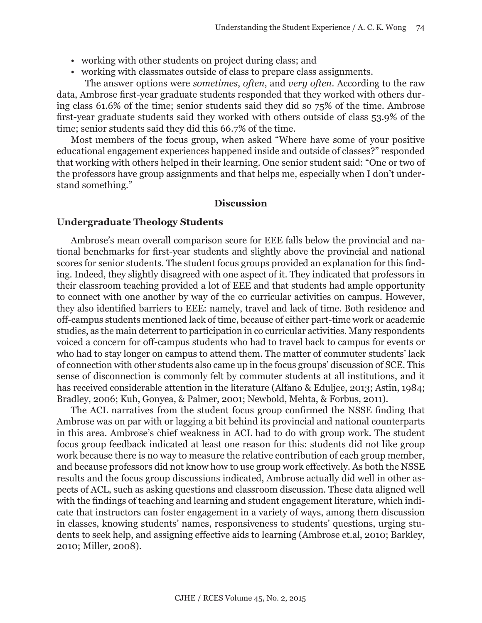- working with other students on project during class; and
- working with classmates outside of class to prepare class assignments.

The answer options were *sometimes*, *often*, and *very often*. According to the raw data, Ambrose first-year graduate students responded that they worked with others during class 61.6% of the time; senior students said they did so 75% of the time. Ambrose first-year graduate students said they worked with others outside of class 53.9% of the time; senior students said they did this 66.7% of the time.

Most members of the focus group, when asked "Where have some of your positive educational engagement experiences happened inside and outside of classes?" responded that working with others helped in their learning. One senior student said: "One or two of the professors have group assignments and that helps me, especially when I don't understand something."

### **Discussion**

#### **Undergraduate Theology Students**

Ambrose's mean overall comparison score for EEE falls below the provincial and national benchmarks for first-year students and slightly above the provincial and national scores for senior students. The student focus groups provided an explanation for this finding. Indeed, they slightly disagreed with one aspect of it. They indicated that professors in their classroom teaching provided a lot of EEE and that students had ample opportunity to connect with one another by way of the co curricular activities on campus. However, they also identified barriers to EEE: namely, travel and lack of time. Both residence and off-campus students mentioned lack of time, because of either part-time work or academic studies, as the main deterrent to participation in co curricular activities. Many respondents voiced a concern for off-campus students who had to travel back to campus for events or who had to stay longer on campus to attend them. The matter of commuter students' lack of connection with other students also came up in the focus groups' discussion of SCE. This sense of disconnection is commonly felt by commuter students at all institutions, and it has received considerable attention in the literature (Alfano & Eduljee, 2013; Astin, 1984; Bradley, 2006; Kuh, Gonyea, & Palmer, 2001; Newbold, Mehta, & Forbus, 2011).

The ACL narratives from the student focus group confirmed the NSSE finding that Ambrose was on par with or lagging a bit behind its provincial and national counterparts in this area. Ambrose's chief weakness in ACL had to do with group work. The student focus group feedback indicated at least one reason for this: students did not like group work because there is no way to measure the relative contribution of each group member, and because professors did not know how to use group work effectively. As both the NSSE results and the focus group discussions indicated, Ambrose actually did well in other aspects of ACL, such as asking questions and classroom discussion. These data aligned well with the findings of teaching and learning and student engagement literature, which indicate that instructors can foster engagement in a variety of ways, among them discussion in classes, knowing students' names, responsiveness to students' questions, urging students to seek help, and assigning effective aids to learning (Ambrose et.al, 2010; Barkley, 2010; Miller, 2008).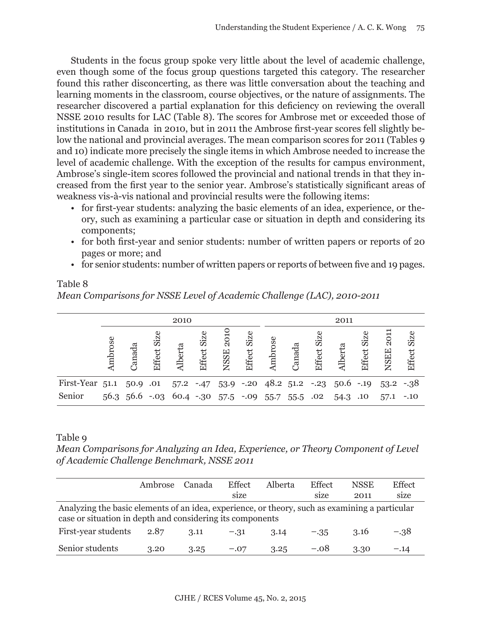Students in the focus group spoke very little about the level of academic challenge, even though some of the focus group questions targeted this category. The researcher found this rather disconcerting, as there was little conversation about the teaching and learning moments in the classroom, course objectives, or the nature of assignments. The researcher discovered a partial explanation for this deficiency on reviewing the overall NSSE 2010 results for LAC (Table 8). The scores for Ambrose met or exceeded those of institutions in Canada in 2010, but in 2011 the Ambrose first-year scores fell slightly below the national and provincial averages. The mean comparison scores for 2011 (Tables 9 and 10) indicate more precisely the single items in which Ambrose needed to increase the level of academic challenge. With the exception of the results for campus environment, Ambrose's single-item scores followed the provincial and national trends in that they increased from the first year to the senior year. Ambrose's statistically significant areas of weakness vis-à-vis national and provincial results were the following items:

- for first-year students: analyzing the basic elements of an idea, experience, or theory, such as examining a particular case or situation in depth and considering its components;
- for both first-year and senior students: number of written papers or reports of 20 pages or more; and
- for senior students: number of written papers or reports of between five and 19 pages.

| Mean Comparisons for NSSE Level of Academic Challenge (LAC), 2010-2011 |        |          |             |         |             |                            |                |         |        |             |                                                       |             |                                                                    |                |
|------------------------------------------------------------------------|--------|----------|-------------|---------|-------------|----------------------------|----------------|---------|--------|-------------|-------------------------------------------------------|-------------|--------------------------------------------------------------------|----------------|
|                                                                        |        |          |             | 2010    |             |                            |                |         |        |             | 2011                                                  |             |                                                                    |                |
|                                                                        | mbrose | Canada   | Effect Size | Alberta | Effect Size | $rac{1}{2}$<br><b>NSSE</b> | Size<br>Effect | Ambrose | Canada | Effect Size | <b>Alberta</b>                                        | Effect Size | 2011<br><b>NSEE</b>                                                | Size<br>Effect |
| First-Year 51.1                                                        |        | 50.9 .01 |             |         |             |                            |                |         |        |             |                                                       |             | $57.2$ -.47 $53.9$ -.20 $48.2$ $51.2$ -.23 $50.6$ -.19 $53.2$ -.38 |                |
| Senior                                                                 |        |          |             |         |             |                            |                |         |        |             | 56.3 56.6 -.03 60.4 -.30 57.5 -.09 55.7 55.5 .02 54.3 | .10         | 57.1                                                               | $-.10$         |

# Table 8

Table 9

*Mean Comparisons for Analyzing an Idea, Experience, or Theory Component of Level of Academic Challenge Benchmark, NSSE 2011*

|                                                                                                                                                             | Ambrose | Canada | Effect<br>size | <b>Alberta</b> | Effect<br>size | <b>NSSE</b><br>2011 | Effect<br>size |
|-------------------------------------------------------------------------------------------------------------------------------------------------------------|---------|--------|----------------|----------------|----------------|---------------------|----------------|
| Analyzing the basic elements of an idea, experience, or theory, such as examining a particular<br>case or situation in depth and considering its components |         |        |                |                |                |                     |                |
| First-year students                                                                                                                                         | 2.87    | 3.11   | $-.31$         | 3.14           | $-.35$         | 3.16                | $-.38$         |
| Senior students                                                                                                                                             | 3.20    | 3.25   | $-.07$         | 3.25           | $-.08$         | 3.30                | $-.14$         |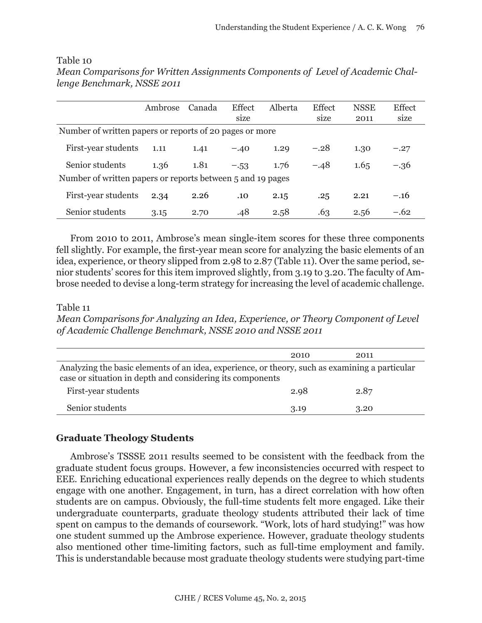|                                                            | Ambrose | Canada | Effect | Alberta | <b>Effect</b> | <b>NSSE</b> | Effect |
|------------------------------------------------------------|---------|--------|--------|---------|---------------|-------------|--------|
|                                                            |         |        | size   |         | size          | 2011        | size   |
| Number of written papers or reports of 20 pages or more    |         |        |        |         |               |             |        |
| First-year students                                        | 1.11    | 1.41   | $-.40$ | 1.29    | $-.28$        | 1.30        | $-.27$ |
| Senior students                                            | 1.36    | 1.81   | $-.53$ | 1.76    | $-.48$        | 1.65        | $-.36$ |
| Number of written papers or reports between 5 and 19 pages |         |        |        |         |               |             |        |
| First-year students                                        | 2.34    | 2.26   | .10    | 2.15    | .25           | 2.21        | $-.16$ |
| Senior students                                            | 3.15    | 2.70   | .48    | 2.58    | .63           | 2.56        | $-.62$ |

Table 10 *Mean Comparisons for Written Assignments Components of Level of Academic Challenge Benchmark, NSSE 2011*

From 2010 to 2011, Ambrose's mean single-item scores for these three components fell slightly. For example, the first-year mean score for analyzing the basic elements of an idea, experience, or theory slipped from 2.98 to 2.87 (Table 11). Over the same period, senior students' scores for this item improved slightly, from 3.19 to 3.20. The faculty of Ambrose needed to devise a long-term strategy for increasing the level of academic challenge.

#### Table 11

*Mean Comparisons for Analyzing an Idea, Experience, or Theory Component of Level of Academic Challenge Benchmark, NSSE 2010 and NSSE 2011*

|                                                                                                                                                             | 2010 | 2011 |
|-------------------------------------------------------------------------------------------------------------------------------------------------------------|------|------|
| Analyzing the basic elements of an idea, experience, or theory, such as examining a particular<br>case or situation in depth and considering its components |      |      |
| First-year students                                                                                                                                         | 2.98 | 2.87 |
| Senior students                                                                                                                                             | 3.19 | 3.20 |

## **Graduate Theology Students**

Ambrose's TSSSE 2011 results seemed to be consistent with the feedback from the graduate student focus groups. However, a few inconsistencies occurred with respect to EEE. Enriching educational experiences really depends on the degree to which students engage with one another. Engagement, in turn, has a direct correlation with how often students are on campus. Obviously, the full-time students felt more engaged. Like their undergraduate counterparts, graduate theology students attributed their lack of time spent on campus to the demands of coursework. "Work, lots of hard studying!" was how one student summed up the Ambrose experience. However, graduate theology students also mentioned other time-limiting factors, such as full-time employment and family. This is understandable because most graduate theology students were studying part-time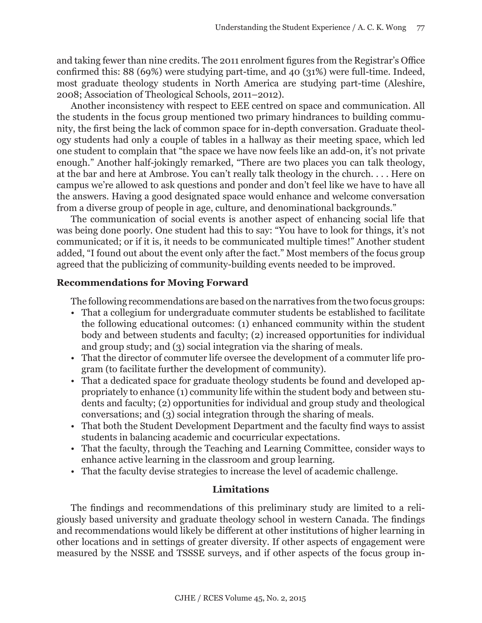and taking fewer than nine credits. The 2011 enrolment figures from the Registrar's Office confirmed this: 88 (69%) were studying part-time, and 40 (31%) were full-time. Indeed, most graduate theology students in North America are studying part-time (Aleshire, 2008; Association of Theological Schools, 2011–2012).

Another inconsistency with respect to EEE centred on space and communication. All the students in the focus group mentioned two primary hindrances to building community, the first being the lack of common space for in-depth conversation. Graduate theology students had only a couple of tables in a hallway as their meeting space, which led one student to complain that "the space we have now feels like an add-on, it's not private enough." Another half-jokingly remarked, "There are two places you can talk theology, at the bar and here at Ambrose. You can't really talk theology in the church. . . . Here on campus we're allowed to ask questions and ponder and don't feel like we have to have all the answers. Having a good designated space would enhance and welcome conversation from a diverse group of people in age, culture, and denominational backgrounds."

The communication of social events is another aspect of enhancing social life that was being done poorly. One student had this to say: "You have to look for things, it's not communicated; or if it is, it needs to be communicated multiple times!" Another student added, "I found out about the event only after the fact." Most members of the focus group agreed that the publicizing of community-building events needed to be improved.

## **Recommendations for Moving Forward**

The following recommendations are based on the narratives from the two focus groups:

- That a collegium for undergraduate commuter students be established to facilitate the following educational outcomes: (1) enhanced community within the student body and between students and faculty; (2) increased opportunities for individual and group study; and (3) social integration via the sharing of meals.
- That the director of commuter life oversee the development of a commuter life program (to facilitate further the development of community).
- That a dedicated space for graduate theology students be found and developed appropriately to enhance (1) community life within the student body and between students and faculty; (2) opportunities for individual and group study and theological conversations; and (3) social integration through the sharing of meals.
- That both the Student Development Department and the faculty find ways to assist students in balancing academic and cocurricular expectations.
- That the faculty, through the Teaching and Learning Committee, consider ways to enhance active learning in the classroom and group learning.
- That the faculty devise strategies to increase the level of academic challenge.

## **Limitations**

The findings and recommendations of this preliminary study are limited to a religiously based university and graduate theology school in western Canada. The findings and recommendations would likely be different at other institutions of higher learning in other locations and in settings of greater diversity. If other aspects of engagement were measured by the NSSE and TSSSE surveys, and if other aspects of the focus group in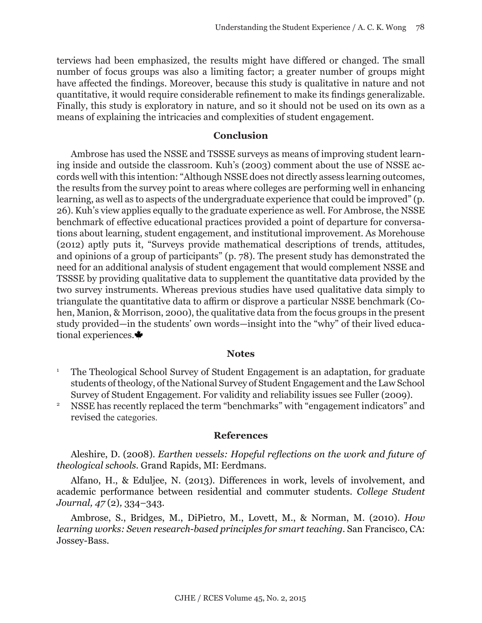terviews had been emphasized, the results might have differed or changed. The small number of focus groups was also a limiting factor; a greater number of groups might have affected the findings. Moreover, because this study is qualitative in nature and not quantitative, it would require considerable refinement to make its findings generalizable. Finally, this study is exploratory in nature, and so it should not be used on its own as a means of explaining the intricacies and complexities of student engagement.

#### **Conclusion**

Ambrose has used the NSSE and TSSSE surveys as means of improving student learning inside and outside the classroom. Kuh's (2003) comment about the use of NSSE accords well with this intention: "Although NSSE does not directly assess learning outcomes, the results from the survey point to areas where colleges are performing well in enhancing learning, as well as to aspects of the undergraduate experience that could be improved" (p. 26). Kuh's view applies equally to the graduate experience as well. For Ambrose, the NSSE benchmark of effective educational practices provided a point of departure for conversations about learning, student engagement, and institutional improvement. As Morehouse (2012) aptly puts it, "Surveys provide mathematical descriptions of trends, attitudes, and opinions of a group of participants" (p. 78). The present study has demonstrated the need for an additional analysis of student engagement that would complement NSSE and TSSSE by providing qualitative data to supplement the quantitative data provided by the two survey instruments. Whereas previous studies have used qualitative data simply to triangulate the quantitative data to affirm or disprove a particular NSSE benchmark (Cohen, Manion, & Morrison, 2000), the qualitative data from the focus groups in the present study provided—in the students' own words—insight into the "why" of their lived educational experiences.  $\blacklozenge$ 

#### **Notes**

- <sup>1</sup> The Theological School Survey of Student Engagement is an adaptation, for graduate students of theology, of the National Survey of Student Engagement and the Law School Survey of Student Engagement. For validity and reliability issues see Fuller (2009).
- <sup>2</sup> NSSE has recently replaced the term "benchmarks" with "engagement indicators" and revised the categories.

#### **References**

Aleshire, D. (2008). *Earthen vessels: Hopeful reflections on the work and future of theological schools.* Grand Rapids, MI: Eerdmans.

Alfano, H., & Eduljee, N. (2013). Differences in work, levels of involvement, and academic performance between residential and commuter students. *College Student Journal, 47* (2)*,* 334–343.

Ambrose, S., Bridges, M., DiPietro, M., Lovett, M., & Norman, M. (2010). *How learning works: Seven research-based principles for smart teaching.* San Francisco, CA: Jossey-Bass.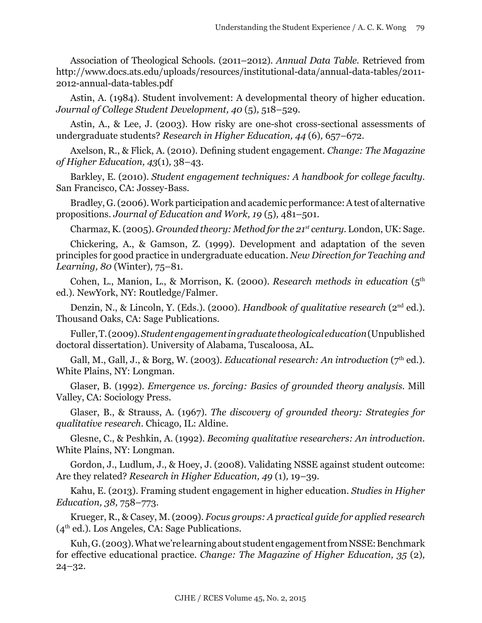Association of Theological Schools. (2011–2012). *Annual Data Table.* Retrieved from http://www.docs.ats.edu/uploads/resources/institutional-data/annual-data-tables/2011- 2012-annual-data-tables.pdf

Astin, A. (1984). Student involvement: A developmental theory of higher education. *Journal of College Student Development, 40* (5)*,* 518–529.

Astin, A., & Lee, J. (2003). How risky are one-shot cross-sectional assessments of undergraduate students? *Research in Higher Education, 44* (6)*,* 657–672.

Axelson, R., & Flick, A. (2010). Defining student engagement. *Change: The Magazine of Higher Education, 43*(1)*,* 38–43.

Barkley, E. (2010). *Student engagement techniques: A handbook for college faculty.*  San Francisco, CA: Jossey-Bass.

Bradley, G. (2006). Work participation and academic performance: A test of alternative propositions. *Journal of Education and Work, 19* (5)*,* 481–501.

Charmaz, K. (2005). *Grounded theory: Method for the 21st century.* London, UK: Sage.

Chickering, A., & Gamson, Z. (1999). Development and adaptation of the seven principles for good practice in undergraduate education. *New Direction for Teaching and Learning, 80* (Winter)*,* 75–81.

Cohen, L., Manion, L., & Morrison, K. (2000). *Research methods in education* (5<sup>th</sup> ed.). NewYork, NY: Routledge/Falmer.

Denzin, N., & Lincoln, Y. (Eds.). (2000). *Handbook of qualitative research* (2<sup>nd</sup> ed.). Thousand Oaks, CA: Sage Publications.

Fuller, T. (2009). *Student engagement in graduate theological education* (Unpublished doctoral dissertation). University of Alabama, Tuscaloosa, AL.

Gall, M., Gall, J., & Borg, W. (2003). *Educational research: An introduction* (7th ed.). White Plains, NY: Longman.

Glaser, B. (1992). *Emergence vs. forcing: Basics of grounded theory analysis.* Mill Valley, CA: Sociology Press.

Glaser, B., & Strauss, A. (1967). *The discovery of grounded theory: Strategies for qualitative research.* Chicago, IL: Aldine.

Glesne, C., & Peshkin, A. (1992). *Becoming qualitative researchers: An introduction.* White Plains, NY: Longman.

Gordon, J., Ludlum, J., & Hoey, J. (2008). Validating NSSE against student outcome: Are they related? *Research in Higher Education, 49* (1)*,* 19–39.

Kahu, E. (2013). Framing student engagement in higher education. *Studies in Higher Education, 38,* 758–773.

Krueger, R., & Casey, M. (2009). *Focus groups: A practical guide for applied research*  $(4<sup>th</sup>$  ed.). Los Angeles, CA: Sage Publications.

Kuh, G. (2003). What we're learning about student engagement from NSSE: Benchmark for effective educational practice. *Change: The Magazine of Higher Education, 35* (2)*,*  24–32.